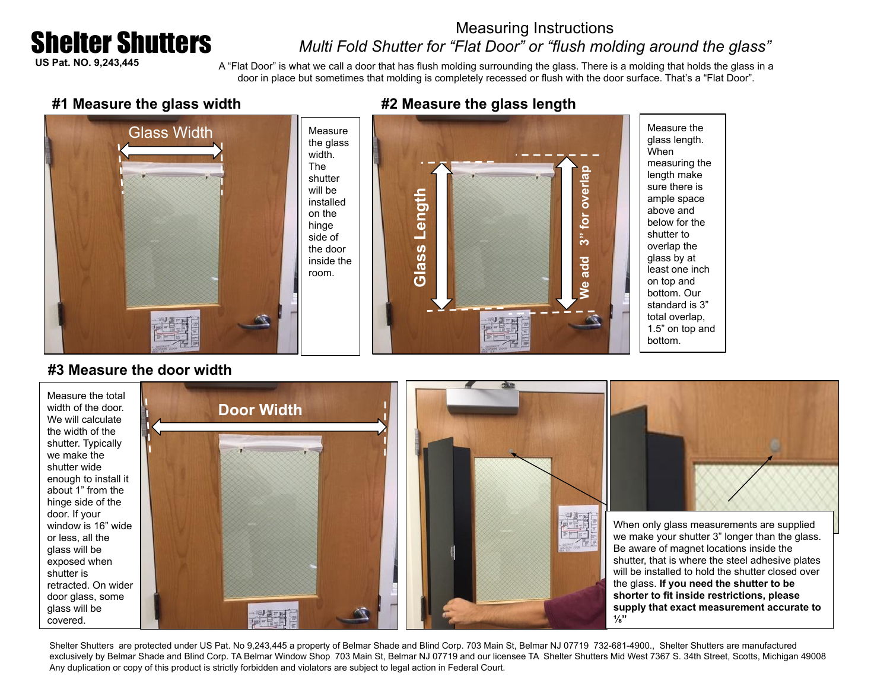# Shelter Shutters

## Measuring Instructions *Multi Fold Shutter for "Flat Door" or "flush molding around the glass"*

**US Pat. NO. 9,243,445**

A "Flat Door" is what we call a door that has flush molding surrounding the glass. There is a molding that holds the glass in a door in place but sometimes that molding is completely recessed or flush with the door surface. That's a "Flat Door".

#### **#1 Measure the glass width**



#### **#2 Measure the glass length**



measuring the length make sure there is ample space above and below for the shutter to overlap the glass by at least one inch on top and bottom. Our standard is 3" total overlap, 1.5" on top and

#### **#3 Measure the door width**



Shelter Shutters are protected under US Pat. No 9,243,445 a property of Belmar Shade and Blind Corp. 703 Main St, Belmar NJ 07719 732-681-4900., Shelter Shutters are manufactured exclusively by Belmar Shade and Blind Corp. TA Belmar Window Shop 703 Main St, Belmar NJ 07719 and our licensee TA Shelter Shutters Mid West 7367 S. 34th Street, Scotts, Michigan 49008 Any duplication or copy of this product is strictly forbidden and violators are subject to legal action in Federal Court.